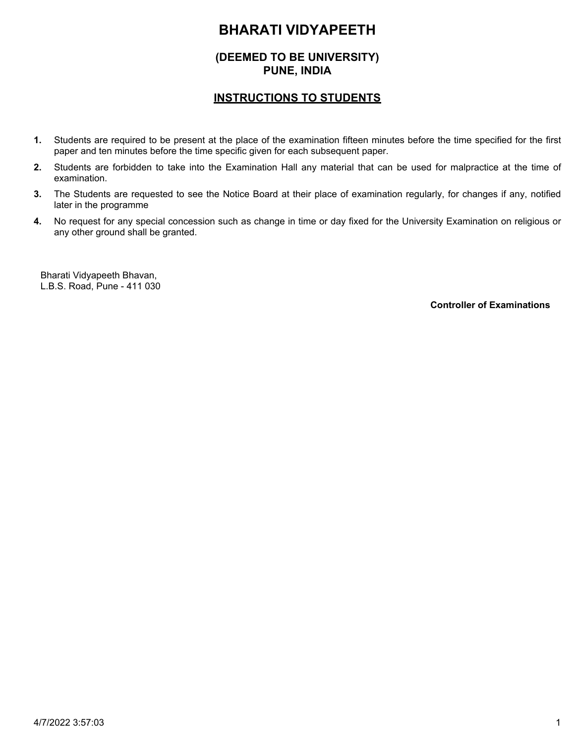# **(DEEMED TO BE UNIVERSITY) PUNE, INDIA**

## **INSTRUCTIONS TO STUDENTS**

- Students are required to be present at the place of the examination fifteen minutes before the time specified for the first paper and ten minutes before the time specific given for each subsequent paper. **1.**
- Students are forbidden to take into the Examination Hall any material that can be used for malpractice at the time of examination. **2.**
- The Students are requested to see the Notice Board at their place of examination regularly, for changes if any, notified later in the programme **3.**
- No request for any special concession such as change in time or day fixed for the University Examination on religious or any other ground shall be granted. **4.**

Bharati Vidyapeeth Bhavan, L.B.S. Road, Pune - 411 030

**Controller of Examinations**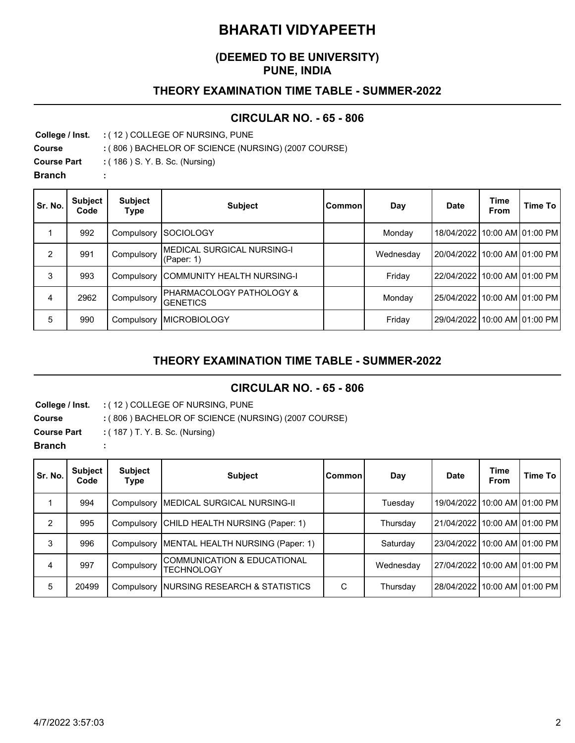## **(DEEMED TO BE UNIVERSITY) PUNE, INDIA**

### **THEORY EXAMINATION TIME TABLE - SUMMER-2022**

#### **CIRCULAR NO. - 65 - 806**

**College / Inst.** ( 12 ) COLLEGE OF NURSING, PUNE **:**

**Course** ( 806 ) BACHELOR OF SCIENCE (NURSING) (2007 COURSE) **:**

**Course Part** : (186 ) S. Y. B. Sc. (Nursing)

**:**

**Branch** 

| Sr. No. | <b>Subject</b><br>Code | <b>Subject</b><br><b>Type</b> | <b>Subject</b>                               | Common | Day       | <b>Date</b>                  | <b>Time</b><br><b>From</b> | Time To |
|---------|------------------------|-------------------------------|----------------------------------------------|--------|-----------|------------------------------|----------------------------|---------|
|         | 992                    | Compulsory                    | ISOCIOLOGY                                   |        | Monday    | 18/04/2022 10:00 AM 01:00 PM |                            |         |
| 2       | 991                    | Compulsory                    | İMEDICAL SURGICAL NURSING-I<br>(Paper: 1)    |        | Wednesday | 20/04/2022 10:00 AM 01:00 PM |                            |         |
| 3       | 993                    | Compulsory                    | COMMUNITY HEALTH NURSING-I                   |        | Friday    | 22/04/2022 10:00 AM 01:00 PM |                            |         |
| 4       | 2962                   | Compulsory                    | IPHARMACOLOGY PATHOLOGY &<br><b>GENETICS</b> |        | Mondav    | 25/04/2022 10:00 AM 01:00 PM |                            |         |
| 5       | 990                    | Compulsory                    | <b>MICROBIOLOGY</b>                          |        | Friday    | 29/04/2022 10:00 AM 01:00 PM |                            |         |

### **THEORY EXAMINATION TIME TABLE - SUMMER-2022**

#### **CIRCULAR NO. - 65 - 806**

**College / Inst.** ( 12 ) COLLEGE OF NURSING, PUNE **:**

**Course** ( 806 ) BACHELOR OF SCIENCE (NURSING) (2007 COURSE) **:**

**Course Part :** ( 187 ) T. Y. B. Sc. (Nursing)

**:**

**Branch** 

| Sr. No. | <b>Subject</b><br>Code | <b>Subject</b><br><b>Type</b> | <b>Subject</b>                                   | <b>Common</b> | Day       | <b>Date</b>                  | <b>Time</b><br><b>From</b> | Time To I |
|---------|------------------------|-------------------------------|--------------------------------------------------|---------------|-----------|------------------------------|----------------------------|-----------|
|         | 994                    | Compulsory                    | <b>IMEDICAL SURGICAL NURSING-II</b>              |               | Tuesday   | 19/04/2022 10:00 AM 01:00 PM |                            |           |
| 2       | 995                    |                               | Compulsory CHILD HEALTH NURSING (Paper: 1)       |               | Thursday  | 21/04/2022 10:00 AM 01:00 PM |                            |           |
| 3       | 996                    | Compulsory                    | MENTAL HEALTH NURSING (Paper: 1)                 |               | Saturday  | 23/04/2022 10:00 AM 01:00 PM |                            |           |
| 4       | 997                    | Compulsory                    | COMMUNICATION & EDUCATIONAL<br><b>TECHNOLOGY</b> |               | Wednesday | 27/04/2022 10:00 AM 01:00 PM |                            |           |
| 5       | 20499                  |                               | Compulsory NURSING RESEARCH & STATISTICS         | C             | Thursday  | 28/04/2022 10:00 AM 01:00 PM |                            |           |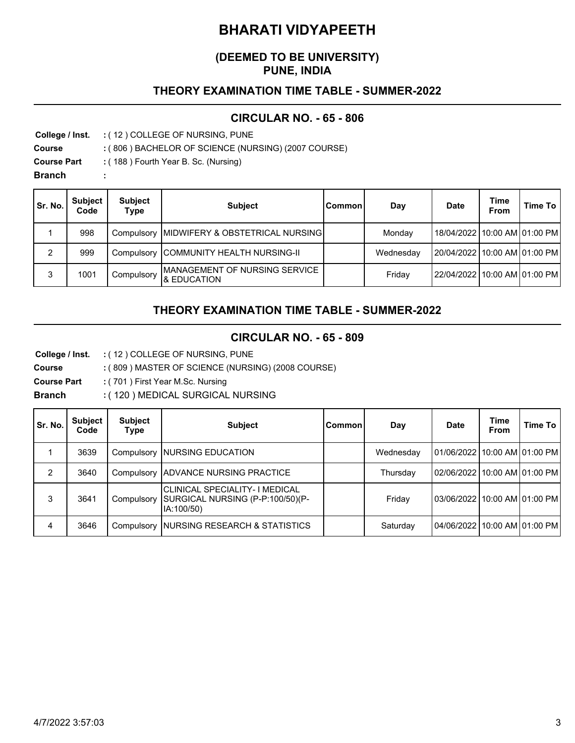## **(DEEMED TO BE UNIVERSITY) PUNE, INDIA**

### **THEORY EXAMINATION TIME TABLE - SUMMER-2022**

#### **CIRCULAR NO. - 65 - 806**

**College / Inst.** ( 12 ) COLLEGE OF NURSING, PUNE **:**

**Course** ( 806 ) BACHELOR OF SCIENCE (NURSING) (2007 COURSE) **:**

**Course Part** : (188) Fourth Year B. Sc. (Nursing)

**:**

**Branch** 

| Sr. No. | <b>Subject</b><br>Code | <b>Subject</b><br>Type | <b>Subject</b>                                           | <b>Common</b> | Day       | <b>Date</b>                  | Time<br>From | Time To |
|---------|------------------------|------------------------|----------------------------------------------------------|---------------|-----------|------------------------------|--------------|---------|
|         | 998                    |                        | Compulsory   MIDWIFERY & OBSTETRICAL NURSING             |               | Mondav    | 18/04/2022 10:00 AM 01:00 PM |              |         |
| 2       | 999                    |                        | Compulsory COMMUNITY HEALTH NURSING-II                   |               | Wednesday | 20/04/2022 10:00 AM 01:00 PM |              |         |
| 3       | 1001                   | Compulsory             | IMANAGEMENT OF NURSING SERVICE<br><b>&amp; EDUCATION</b> |               | Friday    | 22/04/2022110:00 AM101:00 PM |              |         |

### **THEORY EXAMINATION TIME TABLE - SUMMER-2022**

## **CIRCULAR NO. - 65 - 809**

**College / Inst.** ( 12 ) COLLEGE OF NURSING, PUNE **:**

**Course** ( 809 ) MASTER OF SCIENCE (NURSING) (2008 COURSE) **:**

- **Course Part** ( 701 ) First Year M.Sc. Nursing **:**
- **Branch** ( 120 ) MEDICAL SURGICAL NURSING **:**

| Sr. No. | <b>Subject</b><br>Code | <b>Subject</b><br><b>Type</b> | <b>Subject</b>                                                                   | Common | Day       | <b>Date</b>                  | <b>Time</b><br><b>From</b> | Time To |
|---------|------------------------|-------------------------------|----------------------------------------------------------------------------------|--------|-----------|------------------------------|----------------------------|---------|
|         | 3639                   |                               | Compulsory INURSING EDUCATION                                                    |        | Wednesday | 01/06/2022 10:00 AM 01:00 PM |                            |         |
| 2       | 3640                   |                               | Compulsory ADVANCE NURSING PRACTICE                                              |        | Thursday  | 02/06/2022 10:00 AM 01:00 PM |                            |         |
| 3       | 3641                   | Compulsory                    | CLINICAL SPECIALITY- I MEDICAL<br>SURGICAL NURSING (P-P:100/50)(P-<br>IA:100/50) |        | Friday    | 03/06/2022 10:00 AM 01:00 PM |                            |         |
| 4       | 3646                   |                               | Compulsory NURSING RESEARCH & STATISTICS                                         |        | Saturday  | 04/06/2022 10:00 AM 01:00 PM |                            |         |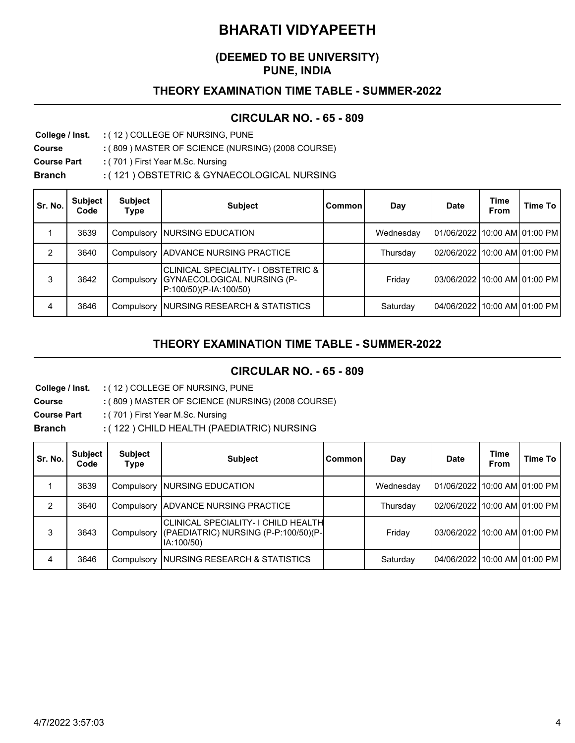## **(DEEMED TO BE UNIVERSITY) PUNE, INDIA**

### **THEORY EXAMINATION TIME TABLE - SUMMER-2022**

#### **CIRCULAR NO. - 65 - 809**

**College / Inst.** ( 12 ) COLLEGE OF NURSING, PUNE **:**

**Course** ( 809 ) MASTER OF SCIENCE (NURSING) (2008 COURSE) **:**

**Course Part** ( 701 ) First Year M.Sc. Nursing **:**

**Branch** ( 121 ) OBSTETRIC & GYNAECOLOGICAL NURSING **:**

| Sr. No. | <b>Subject</b><br>Code | <b>Subject</b><br>Type | <b>Subject</b>                                                                              | <b>Common</b> | Day       | <b>Date</b>                  | <b>Time</b><br>From | Time To |
|---------|------------------------|------------------------|---------------------------------------------------------------------------------------------|---------------|-----------|------------------------------|---------------------|---------|
|         | 3639                   |                        | Compulsory INURSING EDUCATION                                                               |               | Wednesday | 01/06/2022 10:00 AM 01:00 PM |                     |         |
| 2       | 3640                   |                        | Compulsory ADVANCE NURSING PRACTICE                                                         |               | Thursday  | 02/06/2022 10:00 AM 01:00 PM |                     |         |
| 3       | 3642                   | Compulsory             | CLINICAL SPECIALITY- I OBSTETRIC &<br> GYNAECOLOGICAL NURSING (P-<br>P:100/50)(P-IA:100/50) |               | Friday    | 03/06/2022 10:00 AM 01:00 PM |                     |         |
| 4       | 3646                   |                        | Compulsory NURSING RESEARCH & STATISTICS                                                    |               | Saturday  | 04/06/2022 10:00 AM 01:00 PM |                     |         |

# **THEORY EXAMINATION TIME TABLE - SUMMER-2022**

## **CIRCULAR NO. - 65 - 809**

- **College / Inst.** ( 12 ) COLLEGE OF NURSING, PUNE **:**
- **Course** ( 809 ) MASTER OF SCIENCE (NURSING) (2008 COURSE) **:**
- **Course Part** ( 701 ) First Year M.Sc. Nursing **:**
- **Branch** ( 122 ) CHILD HEALTH (PAEDIATRIC) NURSING **:**

| Sr. No. | <b>Subject</b><br>Code | <b>Subject</b><br><b>Type</b> | <b>Subject</b>                                                                             | lCommon i | Day       | Date                         | <b>Time</b><br><b>From</b> | Time To I |
|---------|------------------------|-------------------------------|--------------------------------------------------------------------------------------------|-----------|-----------|------------------------------|----------------------------|-----------|
|         | 3639                   |                               | Compulsory INURSING EDUCATION                                                              |           | Wednesday | 01/06/2022 10:00 AM 01:00 PM |                            |           |
| 2       | 3640                   | Compulsory                    | <b>ADVANCE NURSING PRACTICE</b>                                                            |           | Thursday  | 02/06/2022 10:00 AM 01:00 PM |                            |           |
| 3       | 3643                   | Compulsory                    | CLINICAL SPECIALITY- I CHILD HEALTHI<br>(PAEDIATRIC) NURSING (P-P:100/50)(P-<br>IA:100/50) |           | Friday    | 03/06/2022 10:00 AM 01:00 PM |                            |           |
| 4       | 3646                   |                               | Compulsory NURSING RESEARCH & STATISTICS                                                   |           | Saturday  | 04/06/2022 10:00 AM 01:00 PM |                            |           |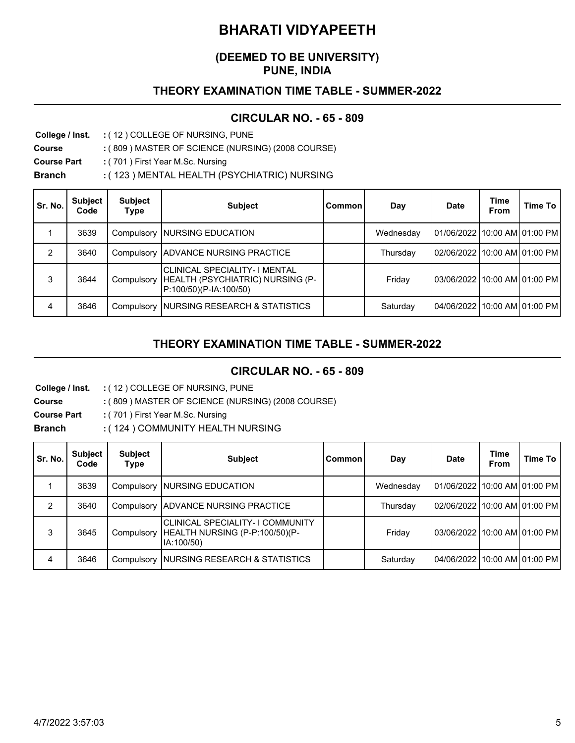## **(DEEMED TO BE UNIVERSITY) PUNE, INDIA**

### **THEORY EXAMINATION TIME TABLE - SUMMER-2022**

#### **CIRCULAR NO. - 65 - 809**

**College / Inst.** ( 12 ) COLLEGE OF NURSING, PUNE **:**

**Course** ( 809 ) MASTER OF SCIENCE (NURSING) (2008 COURSE) **:**

**Course Part** ( 701 ) First Year M.Sc. Nursing **:**

**Branch** ( 123 ) MENTAL HEALTH (PSYCHIATRIC) NURSING **:**

| Sr. No. | <b>Subject</b><br>Code | <b>Subject</b><br><b>Type</b> | <b>Subject</b>                                                                                     | <b>Common</b> | Day       | Date                         | <b>Time</b><br><b>From</b> | Time To |
|---------|------------------------|-------------------------------|----------------------------------------------------------------------------------------------------|---------------|-----------|------------------------------|----------------------------|---------|
|         | 3639                   | Compulsory                    | INURSING EDUCATION                                                                                 |               | Wednesday | 01/06/2022 10:00 AM 01:00 PM |                            |         |
| 2       | 3640                   | Compulsory                    | <b>ADVANCE NURSING PRACTICE</b>                                                                    |               | Thursday  | 02/06/2022 10:00 AM 01:00 PM |                            |         |
| 3       | 3644                   | Compulsory                    | <b>CLINICAL SPECIALITY- I MENTAL</b><br>HEALTH (PSYCHIATRIC) NURSING (P-<br>P:100/50)(P-IA:100/50) |               | Friday    | 03/06/2022 10:00 AM 01:00 PM |                            |         |
| 4       | 3646                   | Compulsory                    | NURSING RESEARCH & STATISTICS                                                                      |               | Saturday  | 04/06/2022 10:00 AM 01:00 PM |                            |         |

## **THEORY EXAMINATION TIME TABLE - SUMMER-2022**

## **CIRCULAR NO. - 65 - 809**

- **College / Inst.** ( 12 ) COLLEGE OF NURSING, PUNE **:**
- **Course** ( 809 ) MASTER OF SCIENCE (NURSING) (2008 COURSE) **:**
- **Course Part** ( 701 ) First Year M.Sc. Nursing **:**
- **Branch** ( 124 ) COMMUNITY HEALTH NURSING **:**

| Sr. No. | <b>Subject</b><br>Code | <b>Subject</b><br>Type | <b>Subject</b>                                                                   | <b>Common</b> | Day       | <b>Date</b>                  | <b>Time</b><br><b>From</b> | Time To |
|---------|------------------------|------------------------|----------------------------------------------------------------------------------|---------------|-----------|------------------------------|----------------------------|---------|
|         | 3639                   |                        | Compulsory INURSING EDUCATION                                                    |               | Wednesday | 01/06/2022 10:00 AM 01:00 PM |                            |         |
| 2       | 3640                   |                        | Compulsory ADVANCE NURSING PRACTICE                                              |               | Thursday  | 02/06/2022 10:00 AM 01:00 PM |                            |         |
| 3       | 3645                   | Compulsory             | CLINICAL SPECIALITY- I COMMUNITY<br>HEALTH NURSING (P-P:100/50)(P-<br>IA:100/50) |               | Friday    | 03/06/2022 10:00 AM 01:00 PM |                            |         |
| 4       | 3646                   |                        | Compulsory NURSING RESEARCH & STATISTICS                                         |               | Saturday  | 04/06/2022 10:00 AM 01:00 PM |                            |         |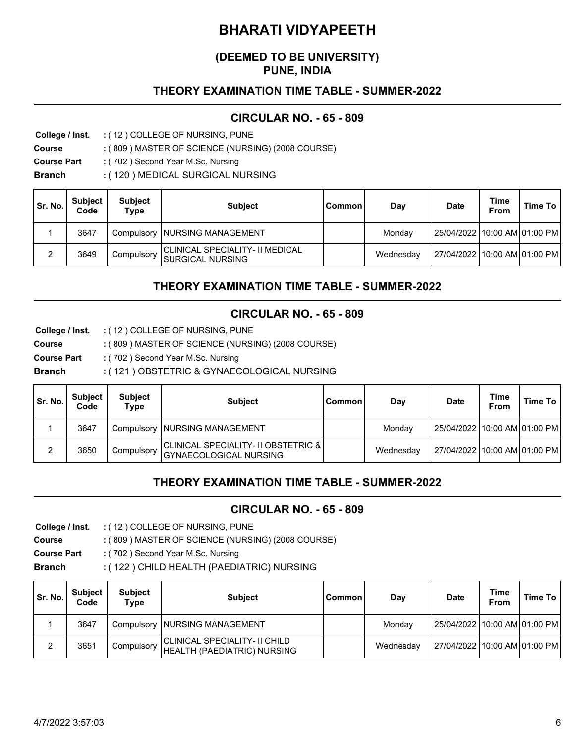## **(DEEMED TO BE UNIVERSITY) PUNE, INDIA**

### **THEORY EXAMINATION TIME TABLE - SUMMER-2022**

#### **CIRCULAR NO. - 65 - 809**

**College / Inst.** ( 12 ) COLLEGE OF NURSING, PUNE **:**

**Course** ( 809 ) MASTER OF SCIENCE (NURSING) (2008 COURSE) **:**

**Course Part** ( 702 ) Second Year M.Sc. Nursing **:**

**Branch** ( 120 ) MEDICAL SURGICAL NURSING **:**

| Sr. No. | <b>Subject</b><br>Code | <b>Subject</b><br>Type | <b>Subject</b>                                             | Common | Dav       | Date                         | <b>Time</b><br>From | Time To |
|---------|------------------------|------------------------|------------------------------------------------------------|--------|-----------|------------------------------|---------------------|---------|
|         | 3647                   |                        | Compulsory NURSING MANAGEMENT                              |        | Mondav    | 25/04/2022 10:00 AM 01:00 PM |                     |         |
| ົ<br>∠  | 3649                   | Compulsory             | CLINICAL SPECIALITY- II MEDICAL<br><b>SURGICAL NURSING</b> |        | Wednesday | 27/04/2022110:00 AM101:00 PM |                     |         |

### **THEORY EXAMINATION TIME TABLE - SUMMER-2022**

#### **CIRCULAR NO. - 65 - 809**

- **College / Inst.** ( 12 ) COLLEGE OF NURSING, PUNE **:**
- **Course** ( 809 ) MASTER OF SCIENCE (NURSING) (2008 COURSE) **:**
- **Course Part** ( 702 ) Second Year M.Sc. Nursing **:**

**Branch** ( 121 ) OBSTETRIC & GYNAECOLOGICAL NURSING **:**

| Sr. No. | <b>Subject</b><br>Code | <b>Subject</b><br>Type | <b>Subject</b>                                                          | Common | Day       | <b>Date</b>                        | <b>Time</b><br>From | Time To I |
|---------|------------------------|------------------------|-------------------------------------------------------------------------|--------|-----------|------------------------------------|---------------------|-----------|
|         | 3647                   |                        | Compulsory NURSING MANAGEMENT                                           |        | Mondav    | 25/04/2022 10:00 AM 01:00 PM       |                     |           |
|         | 3650                   | Compulsory             | CLINICAL SPECIALITY- II OBSTETRIC &  <br><b>IGYNAECOLOGICAL NURSING</b> |        | Wednesdav | l 27/04/2022   10:00 AM   01:00 PM |                     |           |

#### **THEORY EXAMINATION TIME TABLE - SUMMER-2022**

### **CIRCULAR NO. - 65 - 809**

**College / Inst.** ( 12 ) COLLEGE OF NURSING, PUNE **:**

**Course** ( 809 ) MASTER OF SCIENCE (NURSING) (2008 COURSE) **:**

- **Course Part** ( 702 ) Second Year M.Sc. Nursing **:**
- **Branch** ( 122 ) CHILD HEALTH (PAEDIATRIC) NURSING **:**

| Sr. No. | <b>Subject</b><br>Code | <b>Subject</b><br>Type | <b>Subject</b>                                                          | <b>Common</b> | Day       | <b>Date</b>                      | Time<br>From | Time To |
|---------|------------------------|------------------------|-------------------------------------------------------------------------|---------------|-----------|----------------------------------|--------------|---------|
|         | 3647                   |                        | Compulsory NURSING MANAGEMENT                                           |               | Mondav    | 25/04/2022   10:00 AM   01:00 PM |              |         |
|         | 3651                   |                        | CLINICAL SPECIALITY- II CHILD<br>Compulsory HEALTH (PAEDIATRIC) NURSING |               | Wednesdav | 27/04/2022   10:00 AM 01:00 PM   |              |         |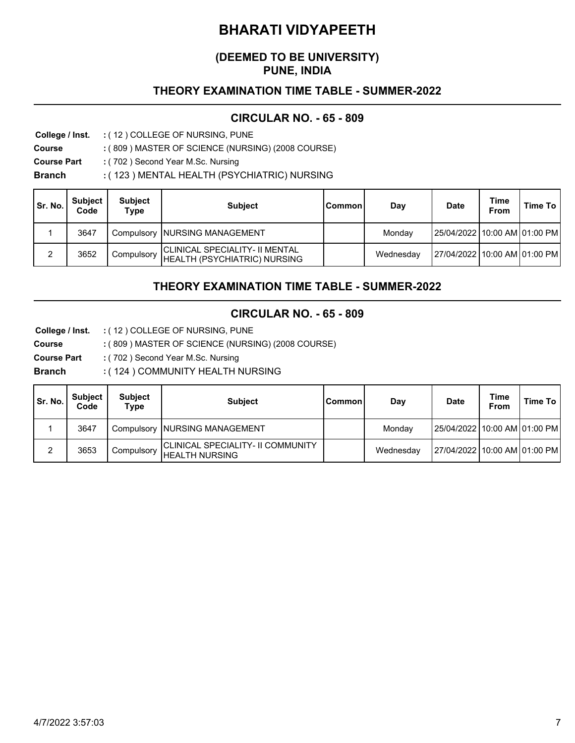## **(DEEMED TO BE UNIVERSITY) PUNE, INDIA**

### **THEORY EXAMINATION TIME TABLE - SUMMER-2022**

#### **CIRCULAR NO. - 65 - 809**

**College / Inst.** ( 12 ) COLLEGE OF NURSING, PUNE **:**

**Course** ( 809 ) MASTER OF SCIENCE (NURSING) (2008 COURSE) **:**

**Course Part** ( 702 ) Second Year M.Sc. Nursing **:**

**Branch** ( 123 ) MENTAL HEALTH (PSYCHIATRIC) NURSING **:**

| Sr. No. | <b>Subject</b><br>Code | <b>Subject</b><br>Type | <b>Subject</b>                                                               | Common | Day       | <b>Date</b>                  | <b>Time</b><br>From | Time To |
|---------|------------------------|------------------------|------------------------------------------------------------------------------|--------|-----------|------------------------------|---------------------|---------|
|         | 3647                   |                        | Compulsory NURSING MANAGEMENT                                                |        | Mondav    | 25/04/2022 10:00 AM 01:00 PM |                     |         |
| 2       | 3652                   | Compulsory             | <b>CLINICAL SPECIALITY- II MENTAL</b><br><b>HEALTH (PSYCHIATRIC) NURSING</b> |        | Wednesday | 27/04/2022 10:00 AM 01:00 PM |                     |         |

### **THEORY EXAMINATION TIME TABLE - SUMMER-2022**

#### **CIRCULAR NO. - 65 - 809**

- **College / Inst.** ( 12 ) COLLEGE OF NURSING, PUNE **:**
- **Course** ( 809 ) MASTER OF SCIENCE (NURSING) (2008 COURSE) **:**
- **Course Part** ( 702 ) Second Year M.Sc. Nursing **:**

**Branch** ( 124 ) COMMUNITY HEALTH NURSING **:**

| Sr. No. | <b>Subject</b><br>Code | <b>Subject</b><br>Type | <b>Subject</b>                                                    | Common | Day       | <b>Date</b>                  | <b>Time</b><br><b>From</b> | Time To |
|---------|------------------------|------------------------|-------------------------------------------------------------------|--------|-----------|------------------------------|----------------------------|---------|
|         | 3647                   |                        | Compulsory NURSING MANAGEMENT                                     |        | Mondav    | 25/04/2022 10:00 AM 01:00 PM |                            |         |
|         | 3653                   | Compulsory             | <b>CLINICAL SPECIALITY- II COMMUNITY</b><br><b>HEALTH NURSING</b> |        | Wednesdav | 27/04/2022110:00 AM101:00 PM |                            |         |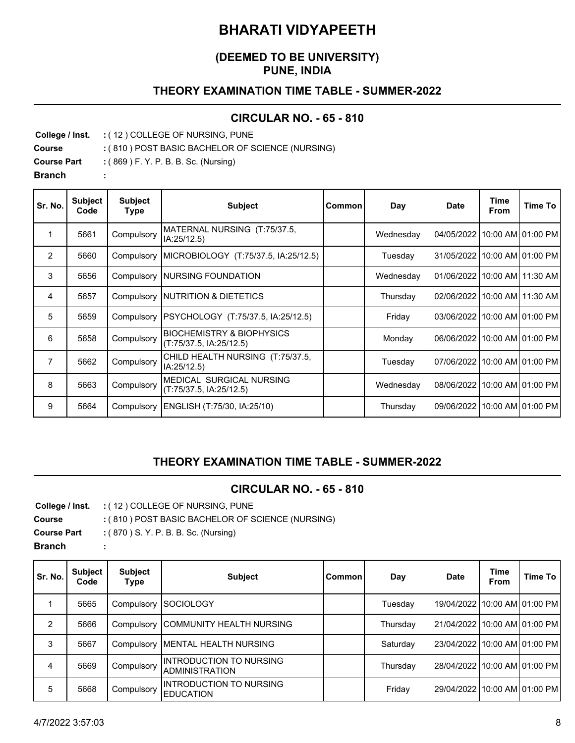# **(DEEMED TO BE UNIVERSITY) PUNE, INDIA**

### **THEORY EXAMINATION TIME TABLE - SUMMER-2022**

#### **CIRCULAR NO. - 65 - 810**

**College / Inst.** ( 12 ) COLLEGE OF NURSING, PUNE **:**

**Course** ( 810 ) POST BASIC BACHELOR OF SCIENCE (NURSING) **:**

**Course Part :** (869 ) F. Y. P. B. B. Sc. (Nursing)

**:**

**Branch** 

| Sr. No.        | <b>Subject</b><br>Code | <b>Subject</b><br><b>Type</b> | <b>Subject</b>                                                  | <b>Common</b> | Day       | <b>Date</b>                   | Time<br><b>From</b> | Time To            |
|----------------|------------------------|-------------------------------|-----------------------------------------------------------------|---------------|-----------|-------------------------------|---------------------|--------------------|
| 1              | 5661                   | Compulsory                    | MATERNAL NURSING (T:75/37.5,<br>IA:25/12.5)                     |               | Wednesday | 04/05/2022                    |                     | 10:00 AM 01:00 PM  |
| 2              | 5660                   | Compulsory                    | MICROBIOLOGY (T:75/37.5, IA:25/12.5)                            |               | Tuesday   | 31/05/2022                    |                     | 10:00 AM 01:00 PM  |
| 3              | 5656                   | Compulsory                    | <b>NURSING FOUNDATION</b>                                       |               | Wednesday | 01/06/2022 10:00 AM 111:30 AM |                     |                    |
| 4              | 5657                   | Compulsory                    | <b>NUTRITION &amp; DIETETICS</b>                                |               | Thursday  | 02/06/2022                    |                     | 10:00 AM 111:30 AM |
| 5              | 5659                   | Compulsory                    | PSYCHOLOGY (T:75/37.5, IA:25/12.5)                              |               | Friday    | 03/06/2022                    |                     | 10:00 AM 01:00 PM  |
| 6              | 5658                   | Compulsory                    | <b>BIOCHEMISTRY &amp; BIOPHYSICS</b><br>(T:75/37.5, IA:25/12.5) |               | Monday    | 06/06/2022                    |                     | 10:00 AM 01:00 PM  |
| $\overline{7}$ | 5662                   | Compulsory                    | CHILD HEALTH NURSING (T:75/37.5,<br>IA:25/12.5)                 |               | Tuesday   | 07/06/2022                    |                     | 10:00 AM 01:00 PM  |
| 8              | 5663                   | Compulsory                    | MEDICAL SURGICAL NURSING<br>(T:75/37.5, IA:25/12.5)             |               | Wednesday | 08/06/2022                    |                     | 10:00 AM 01:00 PM  |
| 9              | 5664                   | Compulsory                    | ENGLISH (T:75/30, IA:25/10)                                     |               | Thursday  | 09/06/2022                    |                     | 10:00 AM 01:00 PM  |

## **THEORY EXAMINATION TIME TABLE - SUMMER-2022**

#### **CIRCULAR NO. - 65 - 810**

- **College / Inst.** ( 12 ) COLLEGE OF NURSING, PUNE **:**
- **Course** ( 810 ) POST BASIC BACHELOR OF SCIENCE (NURSING) **:**
- **Course Part :(** 870 ) S. Y. P. B. B. Sc. (Nursing)

**:**

**Branch** 

J.

| Sr. No. | <b>Subject</b><br>Code | <b>Subject</b><br><b>Type</b> | <b>Subject</b>                                     | <b>Common</b> | Day      | <b>Date</b>                    | <b>Time</b><br><b>From</b> | Time To |
|---------|------------------------|-------------------------------|----------------------------------------------------|---------------|----------|--------------------------------|----------------------------|---------|
|         | 5665                   | Compulsory                    | <b>SOCIOLOGY</b>                                   |               | Tuesday  | 19/04/2022 10:00 AM 01:00 PM   |                            |         |
| 2       | 5666                   |                               | Compulsory COMMUNITY HEALTH NURSING                |               | Thursday | 21/04/2022   10:00 AM 01:00 PM |                            |         |
| 3       | 5667                   |                               | Compulsory   MENTAL HEALTH NURSING                 |               | Saturday | 23/04/2022110:00 AM101:00 PM1  |                            |         |
| 4       | 5669                   | Compulsory                    | IINTRODUCTION TO NURSING<br><b>ADMINISTRATION</b>  |               | Thursday | 28/04/2022   10:00 AM 01:00 PM |                            |         |
| 5       | 5668                   | Compulsory                    | <b>INTRODUCTION TO NURSING</b><br><b>EDUCATION</b> |               | Friday   | 29/04/2022110:00 AM101:00 PM1  |                            |         |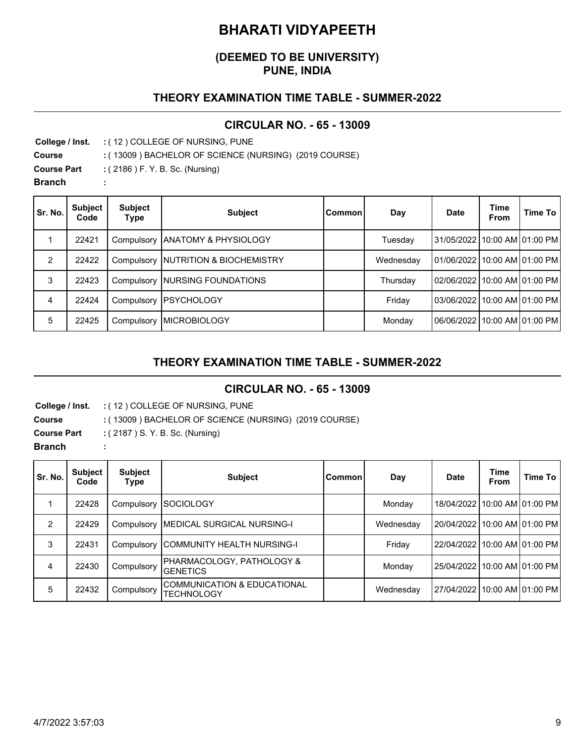## **(DEEMED TO BE UNIVERSITY) PUNE, INDIA**

## **THEORY EXAMINATION TIME TABLE - SUMMER-2022**

## **CIRCULAR NO. - 65 - 13009**

**College / Inst.** ( 12 ) COLLEGE OF NURSING, PUNE **:**

**Course** ( 13009 ) BACHELOR OF SCIENCE (NURSING) (2019 COURSE) **:**

**Course Part** : (2186) F. Y. B. Sc. (Nursing)

**:**

**Branch** 

| Sr. No. | <b>Subject</b><br>Code | <b>Subject</b><br><b>Type</b> | <b>Subject</b>                  | <b>Common</b> | Day       | <b>Date</b>                  | <b>Time</b><br><b>From</b> | Time To |
|---------|------------------------|-------------------------------|---------------------------------|---------------|-----------|------------------------------|----------------------------|---------|
|         | 22421                  | Compulsory                    | <b>ANATOMY &amp; PHYSIOLOGY</b> |               | Tuesday   | 31/05/2022 10:00 AM 01:00 PM |                            |         |
| 2       | 22422                  | Compulsory                    | NUTRITION & BIOCHEMISTRY        |               | Wednesday | 01/06/2022 10:00 AM 01:00 PM |                            |         |
| 3       | 22423                  | Compulsory                    | <b>NURSING FOUNDATIONS</b>      |               | Thursday  | 02/06/2022110:00 AM101:00 PM |                            |         |
| 4       | 22424                  | Compulsory                    | <b>PSYCHOLOGY</b>               |               | Friday    | 03/06/2022 10:00 AM 01:00 PM |                            |         |
| 5       | 22425                  | Compulsory                    | <b>MICROBIOLOGY</b>             |               | Monday    | 06/06/2022 10:00 AM 01:00 PM |                            |         |

# **THEORY EXAMINATION TIME TABLE - SUMMER-2022**

#### **CIRCULAR NO. - 65 - 13009**

**College / Inst.** ( 12 ) COLLEGE OF NURSING, PUNE **:**

**Course** ( 13009 ) BACHELOR OF SCIENCE (NURSING) (2019 COURSE) **:**

**Course Part :(** 2187 ) S. Y. B. Sc. (Nursing) **:**

#### **Branch**

| Sr. No. | <b>Subject</b><br>Code | <b>Subject</b><br>Type | <b>Subject</b>                                              | <b>Common</b> | Day       | <b>Date</b>                  | <b>Time</b><br><b>From</b> | Time To |
|---------|------------------------|------------------------|-------------------------------------------------------------|---------------|-----------|------------------------------|----------------------------|---------|
|         | 22428                  | Compulsory             | <b>SOCIOLOGY</b>                                            |               | Mondav    | 18/04/2022 10:00 AM 01:00 PM |                            |         |
| 2       | 22429                  |                        | Compulsory   MEDICAL SURGICAL NURSING-I                     |               | Wednesday | 20/04/2022 10:00 AM 01:00 PM |                            |         |
| 3       | 22431                  |                        | Compulsory COMMUNITY HEALTH NURSING-I                       |               | Friday    | 22/04/2022 10:00 AM 01:00 PM |                            |         |
| 4       | 22430                  | Compulsory             | PHARMACOLOGY, PATHOLOGY &<br><b>GENETICS</b>                |               | Monday    | 25/04/2022 10:00 AM 01:00 PM |                            |         |
| 5       | 22432                  | Compulsory             | <b>COMMUNICATION &amp; EDUCATIONAL</b><br><b>TECHNOLOGY</b> |               | Wednesday | 27/04/2022 10:00 AM 01:00 PM |                            |         |